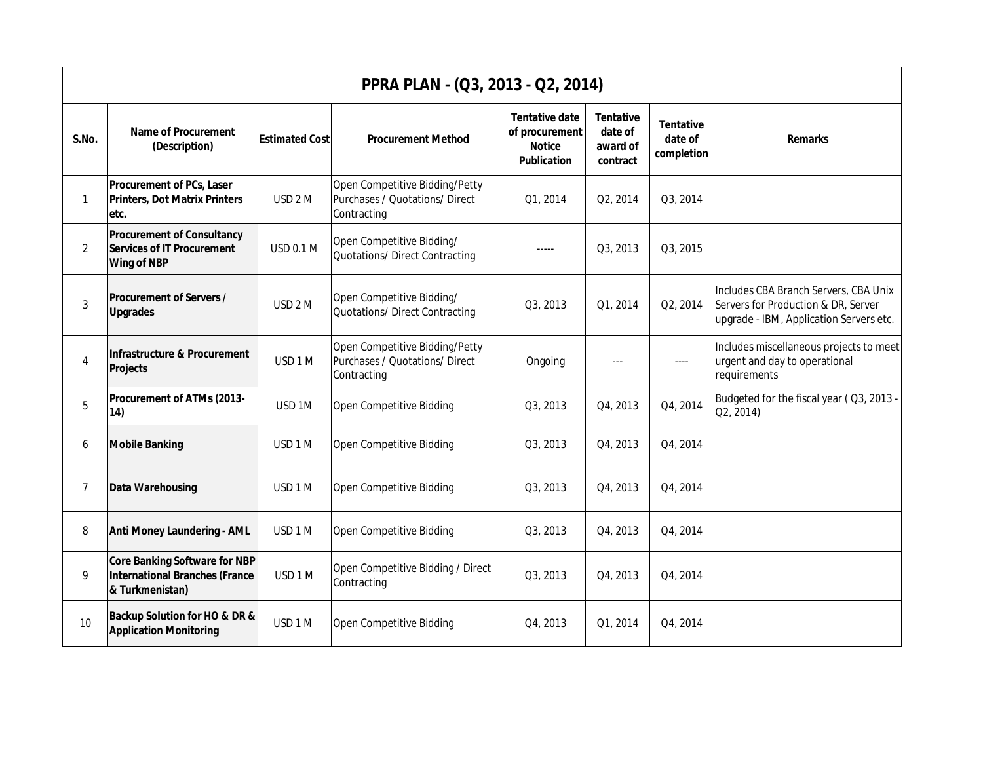| PPRA PLAN - (Q3, 2013 - Q2, 2014) |                                                                                                  |                       |                                                                                 |                                                                                |                                                     |                                           |                                                                                                                         |  |  |  |
|-----------------------------------|--------------------------------------------------------------------------------------------------|-----------------------|---------------------------------------------------------------------------------|--------------------------------------------------------------------------------|-----------------------------------------------------|-------------------------------------------|-------------------------------------------------------------------------------------------------------------------------|--|--|--|
| S.No.                             | <b>Name of Procurement</b><br>(Description)                                                      | <b>Estimated Cost</b> | <b>Procurement Method</b>                                                       | <b>Tentative date</b><br>of procurement<br><b>Notice</b><br><b>Publication</b> | <b>Tentative</b><br>date of<br>award of<br>contract | <b>Tentative</b><br>date of<br>completion | <b>Remarks</b>                                                                                                          |  |  |  |
| $\mathbf{1}$                      | <b>Procurement of PCs, Laser</b><br><b>Printers, Dot Matrix Printers</b><br>etc.                 | USD <sub>2</sub> M    | Open Competitive Bidding/Petty<br>Purchases / Quotations/ Direct<br>Contracting | Q1, 2014                                                                       | Q2, 2014                                            | Q3, 2014                                  |                                                                                                                         |  |  |  |
| 2                                 | <b>Procurement of Consultancy</b><br><b>Services of IT Procurement</b><br><b>Wing of NBP</b>     | <b>USD 0.1 M</b>      | Open Competitive Bidding/<br>Quotations/ Direct Contracting                     | $- - - - -$                                                                    | Q3, 2013                                            | Q3, 2015                                  |                                                                                                                         |  |  |  |
| $\mathfrak{Z}$                    | <b>Procurement of Servers /</b><br><b>Upgrades</b>                                               | USD <sub>2</sub> M    | Open Competitive Bidding/<br>Quotations/ Direct Contracting                     | Q3, 2013                                                                       | Q1, 2014                                            | Q2, 2014                                  | Includes CBA Branch Servers, CBA Unix<br>Servers for Production & DR, Server<br>upgrade - IBM, Application Servers etc. |  |  |  |
| 4                                 | Infrastructure & Procurement<br>Projects                                                         | USD 1 M               | Open Competitive Bidding/Petty<br>Purchases / Quotations/ Direct<br>Contracting | Ongoing                                                                        | $---$                                               | $---$                                     | Includes miscellaneous projects to meet<br>urgent and day to operational<br>requirements                                |  |  |  |
| 5                                 | Procurement of ATMs (2013-<br>14)                                                                | USD <sub>1M</sub>     | <b>Open Competitive Bidding</b>                                                 | Q3, 2013                                                                       | Q4, 2013                                            | Q4, 2014                                  | Budgeted for the fiscal year (Q3, 2013 -<br>Q2, 2014)                                                                   |  |  |  |
| 6                                 | <b>Mobile Banking</b>                                                                            | USD 1 M               | Open Competitive Bidding                                                        | Q3, 2013                                                                       | Q4, 2013                                            | Q4, 2014                                  |                                                                                                                         |  |  |  |
| 7                                 | <b>Data Warehousing</b>                                                                          | USD 1 M               | <b>Open Competitive Bidding</b>                                                 | Q3, 2013                                                                       | Q4, 2013                                            | Q4, 2014                                  |                                                                                                                         |  |  |  |
| 8                                 | <b>Anti Money Laundering - AML</b>                                                               | USD 1 M               | Open Competitive Bidding                                                        | Q3, 2013                                                                       | Q4, 2013                                            | Q4, 2014                                  |                                                                                                                         |  |  |  |
| 9                                 | <b>Core Banking Software for NBP</b><br><b>International Branches (France</b><br>& Turkmenistan) | USD 1 M               | Open Competitive Bidding / Direct<br>Contracting                                | Q3, 2013                                                                       | Q4, 2013                                            | Q4, 2014                                  |                                                                                                                         |  |  |  |
| 10                                | Backup Solution for HO & DR &<br><b>Application Monitoring</b>                                   | USD 1 M               | <b>Open Competitive Bidding</b>                                                 | Q4, 2013                                                                       | Q1, 2014                                            | Q4, 2014                                  |                                                                                                                         |  |  |  |